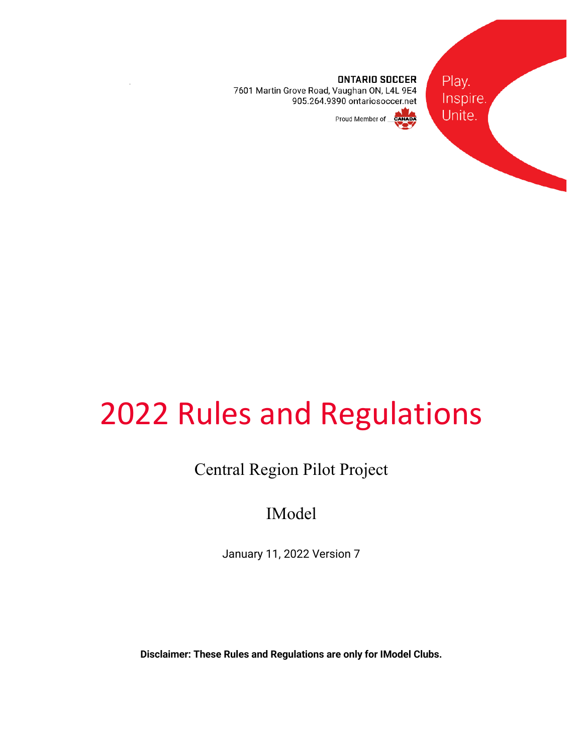Play. Inspire. Unite.



**ONTARIO SOCCER** 7601 Martin Grove Road, Vaughan ON, L4L 9E4 905.264.9390 ontariosoccer.net

## Proud Member of

# 2022 Rules and Regulations

# Central Region Pilot Project

# IModel

January 11, 2022 Version 7

**Disclaimer: These Rules and Regulations are only for IModel Clubs.**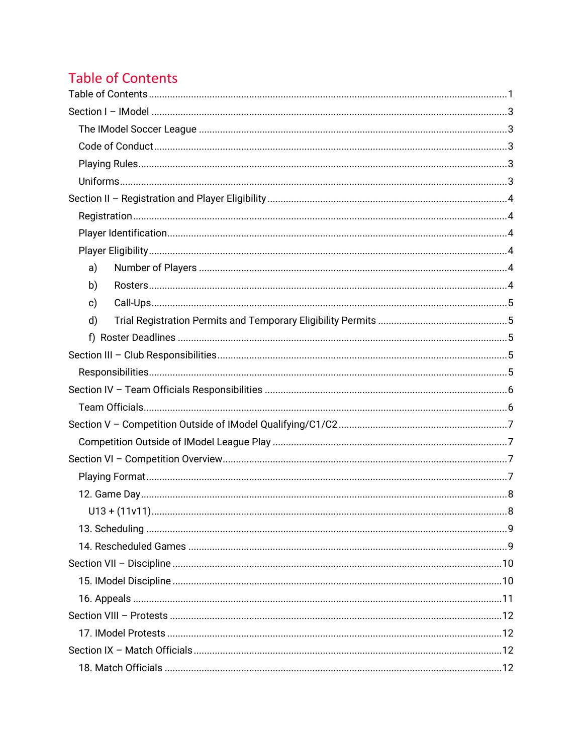# **Table of Contents**

| a) |  |  |
|----|--|--|
| b) |  |  |
| c) |  |  |
| d) |  |  |
|    |  |  |
|    |  |  |
|    |  |  |
|    |  |  |
|    |  |  |
|    |  |  |
|    |  |  |
|    |  |  |
|    |  |  |
|    |  |  |
|    |  |  |
|    |  |  |
|    |  |  |
|    |  |  |
|    |  |  |
|    |  |  |
|    |  |  |
|    |  |  |
|    |  |  |
|    |  |  |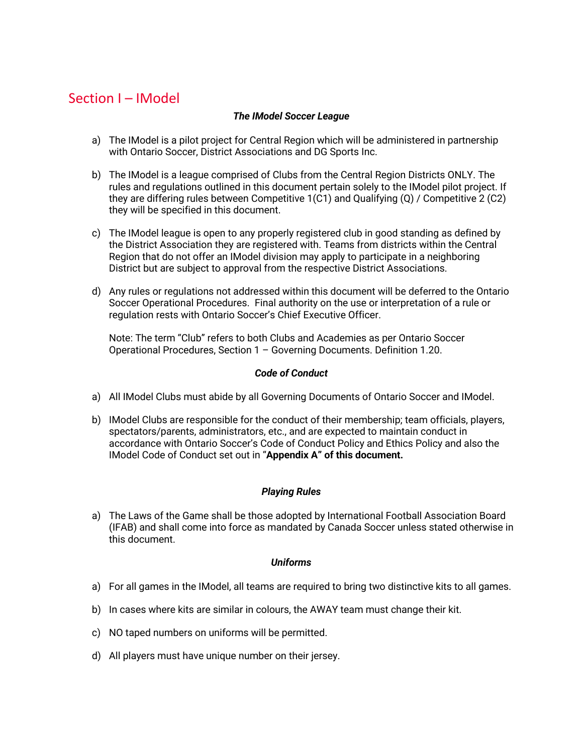## Section I – IModel

#### *The IModel Soccer League*

- a) The IModel is a pilot project for Central Region which will be administered in partnership with Ontario Soccer, District Associations and DG Sports Inc.
- b) The IModel is a league comprised of Clubs from the Central Region Districts ONLY. The rules and regulations outlined in this document pertain solely to the IModel pilot project. If they are differing rules between Competitive 1(C1) and Qualifying (Q) / Competitive 2 (C2) they will be specified in this document.
- c) The IModel league is open to any properly registered club in good standing as defined by the District Association they are registered with. Teams from districts within the Central Region that do not offer an IModel division may apply to participate in a neighboring District but are subject to approval from the respective District Associations.
- d) Any rules or regulations not addressed within this document will be deferred to the Ontario Soccer Operational Procedures. Final authority on the use or interpretation of a rule or regulation rests with Ontario Soccer's Chief Executive Officer.

Note: The term "Club" refers to both Clubs and Academies as per Ontario Soccer Operational Procedures, Section 1 – Governing Documents. Definition 1.20.

#### *Code of Conduct*

- a) All IModel Clubs must abide by all Governing Documents of Ontario Soccer and IModel.
- b) IModel Clubs are responsible for the conduct of their membership; team officials, players, spectators/parents, administrators, etc., and are expected to maintain conduct in accordance with Ontario Soccer's Code of Conduct Policy and Ethics Policy and also the IModel Code of Conduct set out in "**Appendix A" of this document.**

## *Playing Rules*

a) The Laws of the Game shall be those adopted by International Football Association Board (IFAB) and shall come into force as mandated by Canada Soccer unless stated otherwise in this document.

#### *Uniforms*

- a) For all games in the IModel, all teams are required to bring two distinctive kits to all games.
- b) In cases where kits are similar in colours, the AWAY team must change their kit.
- c) NO taped numbers on uniforms will be permitted.
- d) All players must have unique number on their jersey.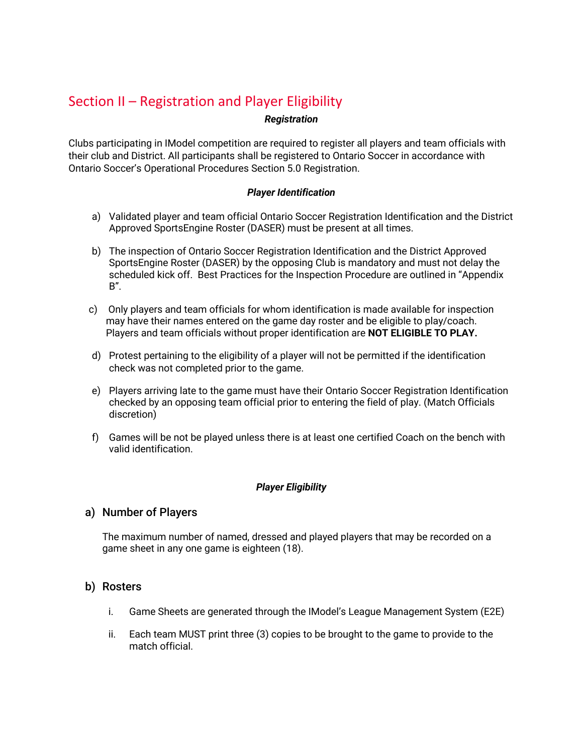## Section II – Registration and Player Eligibility

#### *Registration*

Clubs participating in IModel competition are required to register all players and team officials with their club and District. All participants shall be registered to Ontario Soccer in accordance with Ontario Soccer's Operational Procedures Section 5.0 Registration.

#### *Player Identification*

- a) Validated player and team official Ontario Soccer Registration Identification and the District Approved SportsEngine Roster (DASER) must be present at all times.
- b) The inspection of Ontario Soccer Registration Identification and the District Approved SportsEngine Roster (DASER) by the opposing Club is mandatory and must not delay the scheduled kick off. Best Practices for the Inspection Procedure are outlined in "Appendix B".
- c) Only players and team officials for whom identification is made available for inspection may have their names entered on the game day roster and be eligible to play/coach. Players and team officials without proper identification are **NOT ELIGIBLE TO PLAY.**
- d) Protest pertaining to the eligibility of a player will not be permitted if the identification check was not completed prior to the game.
- e) Players arriving late to the game must have their Ontario Soccer Registration Identification checked by an opposing team official prior to entering the field of play. (Match Officials discretion)
- f) Games will be not be played unless there is at least one certified Coach on the bench with valid identification.

## *Player Eligibility*

## a) Number of Players

The maximum number of named, dressed and played players that may be recorded on a game sheet in any one game is eighteen (18).

## b) Rosters

- i. Game Sheets are generated through the IModel's League Management System (E2E)
- ii. Each team MUST print three (3) copies to be brought to the game to provide to the match official.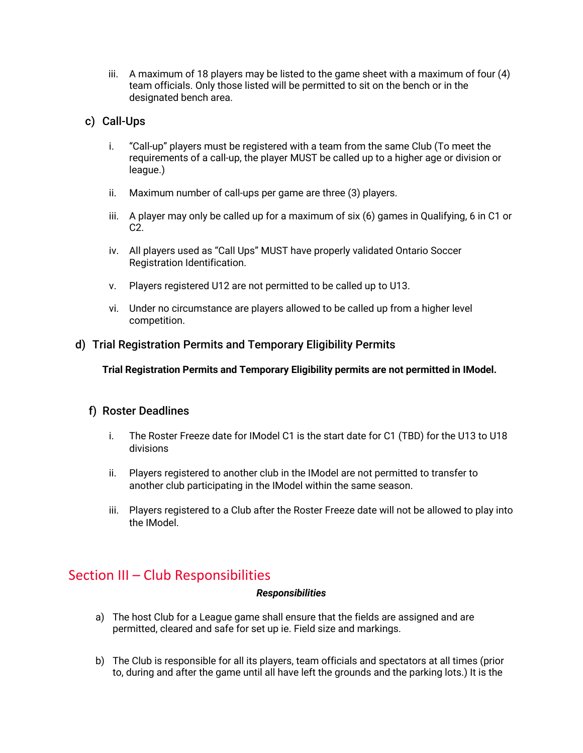iii. A maximum of 18 players may be listed to the game sheet with a maximum of four (4) team officials. Only those listed will be permitted to sit on the bench or in the designated bench area.

## c) Call-Ups

- i. "Call-up" players must be registered with a team from the same Club (To meet the requirements of a call-up, the player MUST be called up to a higher age or division or league.)
- ii. Maximum number of call-ups per game are three (3) players.
- iii. A player may only be called up for a maximum of six (6) games in Qualifying, 6 in C1 or C2.
- iv. All players used as "Call Ups" MUST have properly validated Ontario Soccer Registration Identification.
- v. Players registered U12 are not permitted to be called up to U13.
- vi. Under no circumstance are players allowed to be called up from a higher level competition.

## d) Trial Registration Permits and Temporary Eligibility Permits

**Trial Registration Permits and Temporary Eligibility permits are not permitted in IModel.**

## f) Roster Deadlines

- i. The Roster Freeze date for IModel C1 is the start date for C1 (TBD) for the U13 to U18 divisions
- ii. Players registered to another club in the IModel are not permitted to transfer to another club participating in the IModel within the same season.
- iii. Players registered to a Club after the Roster Freeze date will not be allowed to play into the IModel.

## Section III – Club Responsibilities

#### *Responsibilities*

- a) The host Club for a League game shall ensure that the fields are assigned and are permitted, cleared and safe for set up ie. Field size and markings.
- b) The Club is responsible for all its players, team officials and spectators at all times (prior to, during and after the game until all have left the grounds and the parking lots.) It is the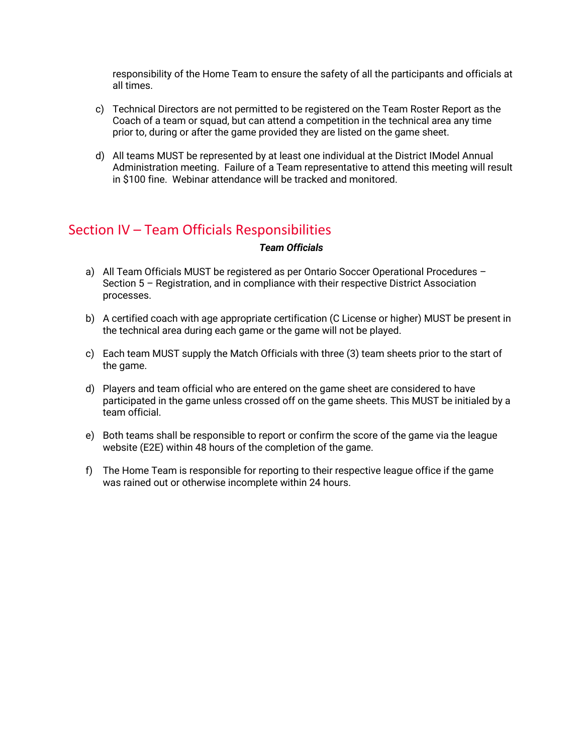responsibility of the Home Team to ensure the safety of all the participants and officials at all times.

- c) Technical Directors are not permitted to be registered on the Team Roster Report as the Coach of a team or squad, but can attend a competition in the technical area any time prior to, during or after the game provided they are listed on the game sheet.
- d) All teams MUST be represented by at least one individual at the District IModel Annual Administration meeting. Failure of a Team representative to attend this meeting will result in \$100 fine. Webinar attendance will be tracked and monitored.

## Section IV – Team Officials Responsibilities

#### *Team Officials*

- a) All Team Officials MUST be registered as per Ontario Soccer Operational Procedures Section 5 – Registration, and in compliance with their respective District Association processes.
- b) A certified coach with age appropriate certification (C License or higher) MUST be present in the technical area during each game or the game will not be played.
- c) Each team MUST supply the Match Officials with three (3) team sheets prior to the start of the game.
- d) Players and team official who are entered on the game sheet are considered to have participated in the game unless crossed off on the game sheets. This MUST be initialed by a team official.
- e) Both teams shall be responsible to report or confirm the score of the game via the league website (E2E) within 48 hours of the completion of the game.
- f) The Home Team is responsible for reporting to their respective league office if the game was rained out or otherwise incomplete within 24 hours.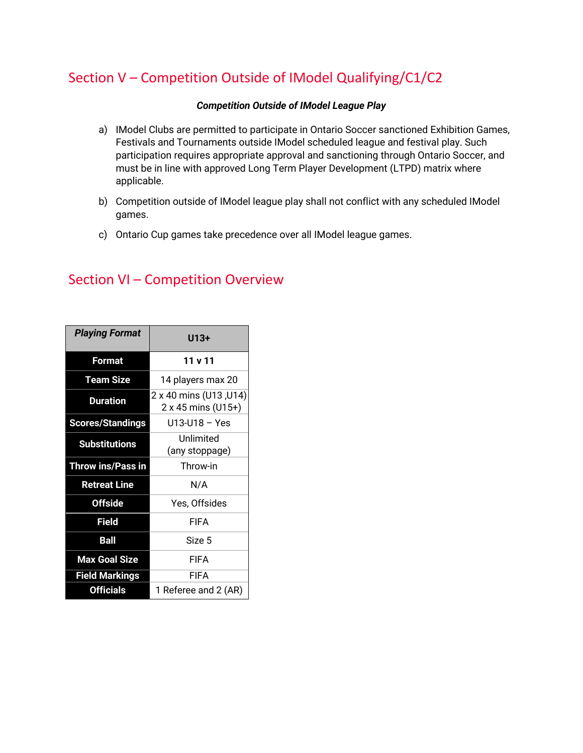## Section V – Competition Outside of IModel Qualifying/C1/C2

## *Competition Outside of IModel League Play*

- a) IModel Clubs are permitted to participate in Ontario Soccer sanctioned Exhibition Games, Festivals and Tournaments outside IModel scheduled league and festival play. Such participation requires appropriate approval and sanctioning through Ontario Soccer, and must be in line with approved Long Term Player Development (LTPD) matrix where applicable.
- b) Competition outside of IModel league play shall not conflict with any scheduled IModel games.
- c) Ontario Cup games take precedence over all IModel league games.

| <b>Playing Format</b>    | U13+                                         |
|--------------------------|----------------------------------------------|
| Format                   | 11 v 11                                      |
| <b>Team Size</b>         | 14 players max 20                            |
| <b>Duration</b>          | 2 x 40 mins (U13, U14)<br>2 x 45 mins (U15+) |
| <b>Scores/Standings</b>  | U13-U18 - Yes                                |
| <b>Substitutions</b>     | Unlimited<br>(any stoppage)                  |
| <b>Throw ins/Pass in</b> | Throw-in                                     |
| <b>Retreat Line</b>      | N/A                                          |
| <b>Offside</b>           | Yes, Offsides                                |
| Field                    | <b>FIFA</b>                                  |
| <b>Ball</b>              | Size 5                                       |
| <b>Max Goal Size</b>     | <b>FIFA</b>                                  |
| <b>Field Markings</b>    | <b>FIFA</b>                                  |
| <b>Officials</b>         | 1 Referee and 2 (AR)                         |

## Section VI – Competition Overview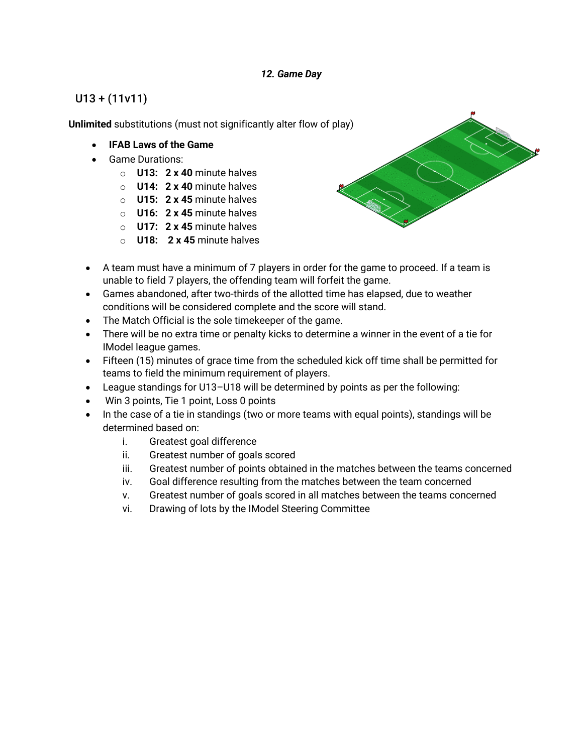## *12. Game Day*

## U13 + (11v11)

**Unlimited** substitutions (must not significantly alter flow of play)

- **IFAB Laws of the Game**
- Game Durations:
	- o **U13: 2 x 40** minute halves
	- o **U14: 2 x 40** minute halves
	- o **U15: 2 x 45** minute halves
	- o **U16: 2 x 45** minute halves
	- o **U17: 2 x 45** minute halves
	- o **U18: 2 x 45** minute halves



- A team must have a minimum of 7 players in order for the game to proceed. If a team is unable to field 7 players, the offending team will forfeit the game.
- Games abandoned, after two-thirds of the allotted time has elapsed, due to weather conditions will be considered complete and the score will stand.
- The Match Official is the sole timekeeper of the game.
- There will be no extra time or penalty kicks to determine a winner in the event of a tie for IModel league games.
- Fifteen (15) minutes of grace time from the scheduled kick off time shall be permitted for teams to field the minimum requirement of players.
- League standings for U13–U18 will be determined by points as per the following:
- Win 3 points, Tie 1 point, Loss 0 points
- In the case of a tie in standings (two or more teams with equal points), standings will be determined based on:
	- i. Greatest goal difference
	- ii. Greatest number of goals scored
	- iii. Greatest number of points obtained in the matches between the teams concerned
	- iv. Goal difference resulting from the matches between the team concerned
	- v. Greatest number of goals scored in all matches between the teams concerned
	- vi. Drawing of lots by the IModel Steering Committee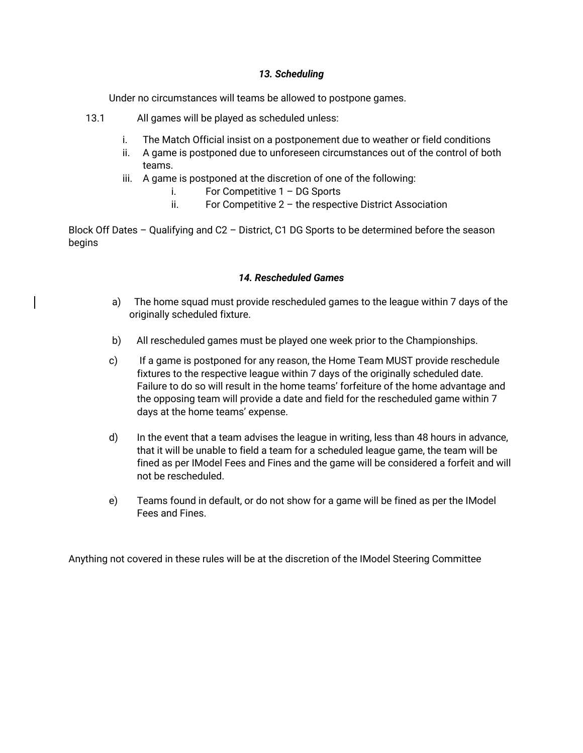#### *13. Scheduling*

Under no circumstances will teams be allowed to postpone games.

- 13.1 All games will be played as scheduled unless:
	- i. The Match Official insist on a postponement due to weather or field conditions
	- ii. A game is postponed due to unforeseen circumstances out of the control of both teams.
	- iii. A game is postponed at the discretion of one of the following:
		- i. For Competitive 1 DG Sports
		- ii. For Competitive  $2 -$  the respective District Association

Block Off Dates – Qualifying and C2 – District, C1 DG Sports to be determined before the season begins

#### *14. Rescheduled Games*

- a) The home squad must provide rescheduled games to the league within 7 days of the originally scheduled fixture.
- b) All rescheduled games must be played one week prior to the Championships.
- c) If a game is postponed for any reason, the Home Team MUST provide reschedule fixtures to the respective league within 7 days of the originally scheduled date. Failure to do so will result in the home teams' forfeiture of the home advantage and the opposing team will provide a date and field for the rescheduled game within 7 days at the home teams' expense.
- d) In the event that a team advises the league in writing, less than 48 hours in advance, that it will be unable to field a team for a scheduled league game, the team will be fined as per IModel Fees and Fines and the game will be considered a forfeit and will not be rescheduled.
- e) Teams found in default, or do not show for a game will be fined as per the IModel Fees and Fines.

Anything not covered in these rules will be at the discretion of the IModel Steering Committee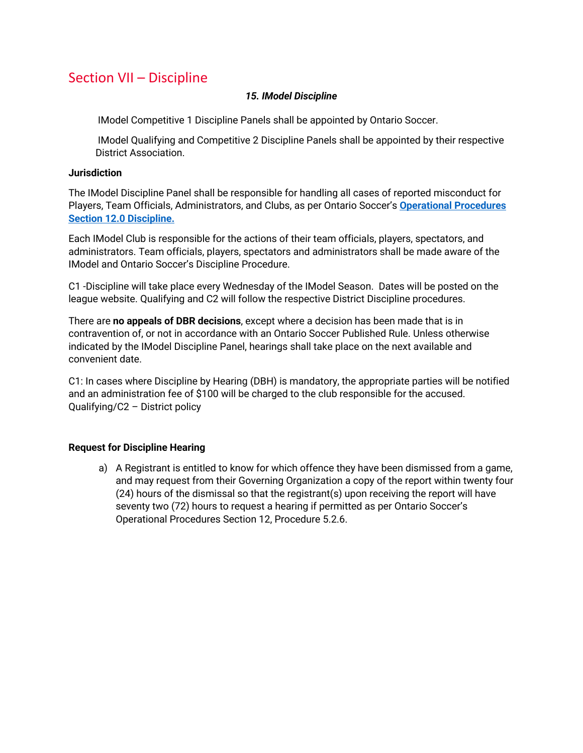## Section VII – Discipline

#### *15. IModel Discipline*

IModel Competitive 1 Discipline Panels shall be appointed by Ontario Soccer.

IModel Qualifying and Competitive 2 Discipline Panels shall be appointed by their respective District Association.

#### **Jurisdiction**

The IModel Discipline Panel shall be responsible for handling all cases of reported misconduct for Players, Team Officials, Administrators, and Clubs, as per Ontario Soccer's **Operational Procedures Section 12.0 Discipline.**

Each IModel Club is responsible for the actions of their team officials, players, spectators, and administrators. Team officials, players, spectators and administrators shall be made aware of the IModel and Ontario Soccer's Discipline Procedure.

C1 -Discipline will take place every Wednesday of the IModel Season. Dates will be posted on the league website. Qualifying and C2 will follow the respective District Discipline procedures.

There are **no appeals of DBR decisions**, except where a decision has been made that is in contravention of, or not in accordance with an Ontario Soccer Published Rule. Unless otherwise indicated by the IModel Discipline Panel, hearings shall take place on the next available and convenient date.

C1: In cases where Discipline by Hearing (DBH) is mandatory, the appropriate parties will be notified and an administration fee of \$100 will be charged to the club responsible for the accused. Qualifying/C2 – District policy

## **Request for Discipline Hearing**

a) A Registrant is entitled to know for which offence they have been dismissed from a game, and may request from their Governing Organization a copy of the report within twenty four (24) hours of the dismissal so that the registrant(s) upon receiving the report will have seventy two (72) hours to request a hearing if permitted as per Ontario Soccer's Operational Procedures Section 12, Procedure 5.2.6.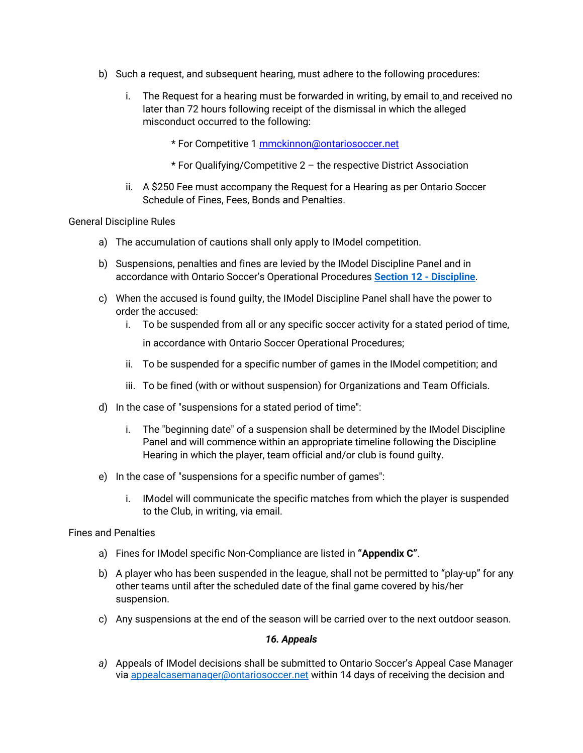- b) Such a request, and subsequent hearing, must adhere to the following procedures:
	- i. The Request for a hearing must be forwarded in writing, by email to and received no later than 72 hours following receipt of the dismissal in which the alleged misconduct occurred to the following:
		- \* For Competitive 1 mmckinnon@ontariosoccer.net
		- \* For Qualifying/Competitive 2 the respective District Association
	- ii. A \$250 Fee must accompany the Request for a Hearing as per Ontario Soccer Schedule of Fines, Fees, Bonds and Penalties**.**

#### General Discipline Rules

- a) The accumulation of cautions shall only apply to IModel competition.
- b) Suspensions, penalties and fines are levied by the IModel Discipline Panel and in accordance with Ontario Soccer's Operational Procedures **Section 12 - Discipline**.
- c) When the accused is found guilty, the IModel Discipline Panel shall have the power to order the accused:
	- i. To be suspended from all or any specific soccer activity for a stated period of time,

in accordance with Ontario Soccer Operational Procedures;

- ii. To be suspended for a specific number of games in the IModel competition; and
- iii. To be fined (with or without suspension) for Organizations and Team Officials.
- d) In the case of "suspensions for a stated period of time":
	- i. The "beginning date" of a suspension shall be determined by the IModel Discipline Panel and will commence within an appropriate timeline following the Discipline Hearing in which the player, team official and/or club is found guilty.
- e) In the case of "suspensions for a specific number of games":
	- i. IModel will communicate the specific matches from which the player is suspended to the Club, in writing, via email.

#### Fines and Penalties

- a) Fines for IModel specific Non-Compliance are listed in **"Appendix C"**.
- b) A player who has been suspended in the league, shall not be permitted to "play-up" for any other teams until after the scheduled date of the final game covered by his/her suspension.
- c) Any suspensions at the end of the season will be carried over to the next outdoor season.

#### *16. Appeals*

*a)* Appeals of IModel decisions shall be submitted to Ontario Soccer's Appeal Case Manager via appealcasemanager@ontariosoccer.net within 14 days of receiving the decision and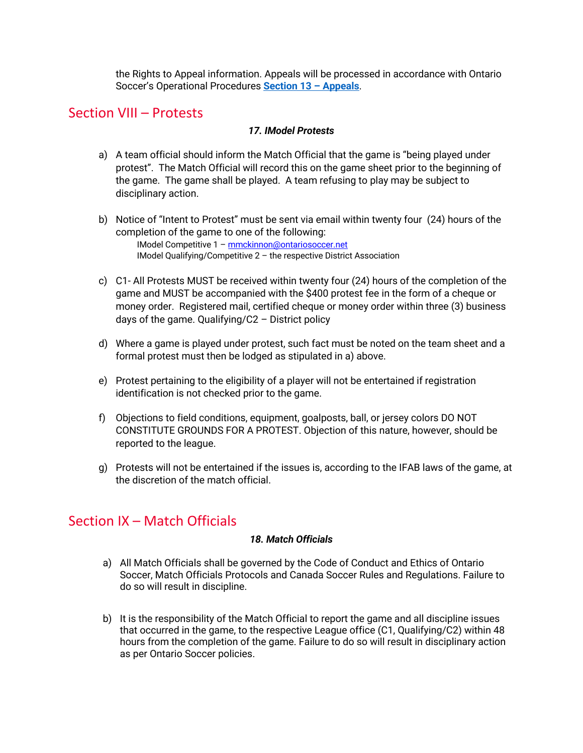the Rights to Appeal information. Appeals will be processed in accordance with Ontario Soccer's Operational Procedures **Section 13 – Appeals**.

## Section VIII – Protests

## *17. IModel Protests*

- a) A team official should inform the Match Official that the game is "being played under protest". The Match Official will record this on the game sheet prior to the beginning of the game. The game shall be played. A team refusing to play may be subject to disciplinary action.
- b) Notice of "Intent to Protest" must be sent via email within twenty four (24) hours of the completion of the game to one of the following: IModel Competitive 1 – mmckinnon@ontariosoccer.net IModel Qualifying/Competitive 2 – the respective District Association
- c) C1- All Protests MUST be received within twenty four (24) hours of the completion of the game and MUST be accompanied with the \$400 protest fee in the form of a cheque or money order. Registered mail, certified cheque or money order within three (3) business days of the game. Qualifying/C2 – District policy
- d) Where a game is played under protest, such fact must be noted on the team sheet and a formal protest must then be lodged as stipulated in a) above.
- e) Protest pertaining to the eligibility of a player will not be entertained if registration identification is not checked prior to the game.
- f) Objections to field conditions, equipment, goalposts, ball, or jersey colors DO NOT CONSTITUTE GROUNDS FOR A PROTEST. Objection of this nature, however, should be reported to the league.
- g) Protests will not be entertained if the issues is, according to the IFAB laws of the game, at the discretion of the match official.

## Section IX – Match Officials

## *18. Match Officials*

- a) All Match Officials shall be governed by the Code of Conduct and Ethics of Ontario Soccer, Match Officials Protocols and Canada Soccer Rules and Regulations. Failure to do so will result in discipline.
- b) It is the responsibility of the Match Official to report the game and all discipline issues that occurred in the game, to the respective League office (C1, Qualifying/C2) within 48 hours from the completion of the game. Failure to do so will result in disciplinary action as per Ontario Soccer policies.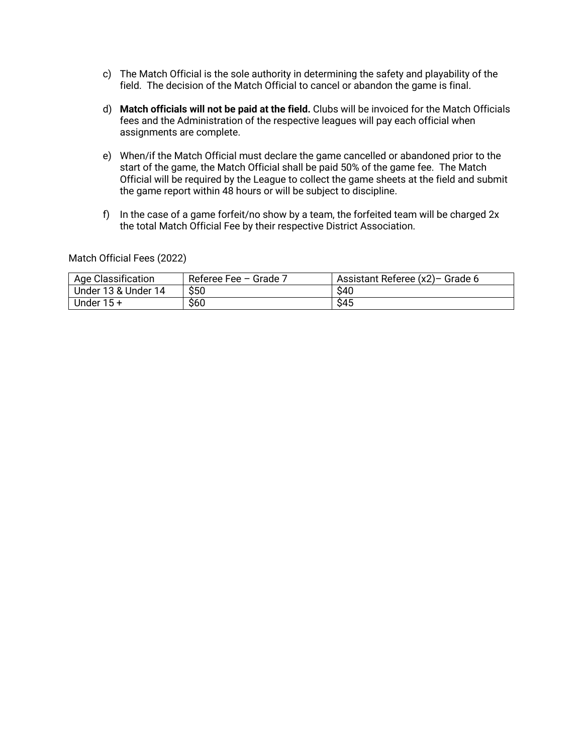- c) The Match Official is the sole authority in determining the safety and playability of the field. The decision of the Match Official to cancel or abandon the game is final.
- d) **Match officials will not be paid at the field.** Clubs will be invoiced for the Match Officials fees and the Administration of the respective leagues will pay each official when assignments are complete.
- e) When/if the Match Official must declare the game cancelled or abandoned prior to the start of the game, the Match Official shall be paid 50% of the game fee. The Match Official will be required by the League to collect the game sheets at the field and submit the game report within 48 hours or will be subject to discipline.
- f) In the case of a game forfeit/no show by a team, the forfeited team will be charged  $2x$ the total Match Official Fee by their respective District Association.

Match Official Fees (2022)

| <b>Age Classification</b> | Referee Fee - Grade 7 | Assistant Referee (x2)- Grade 6 |
|---------------------------|-----------------------|---------------------------------|
| Under 13 & Under 14       | \$50                  | \$40                            |
| Under $15 +$              | \$60                  | \$45                            |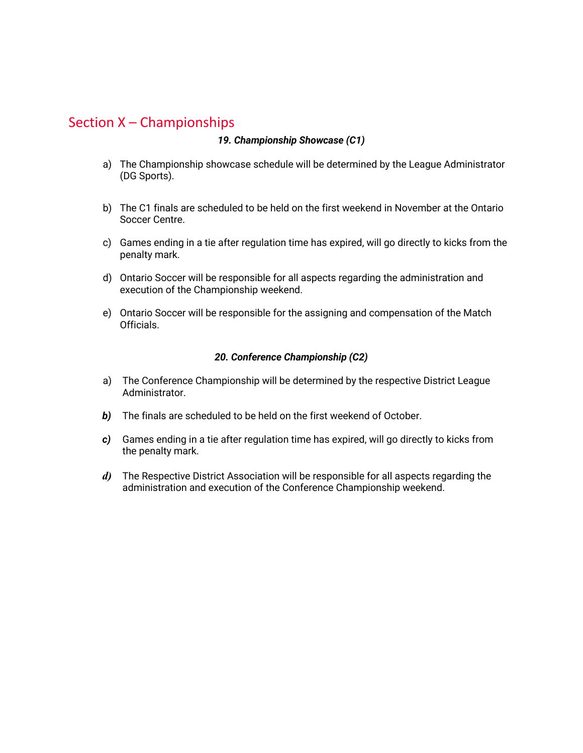## Section X – Championships

#### *19. Championship Showcase (C1)*

- a) The Championship showcase schedule will be determined by the League Administrator (DG Sports).
- b) The C1 finals are scheduled to be held on the first weekend in November at the Ontario Soccer Centre.
- c) Games ending in a tie after regulation time has expired, will go directly to kicks from the penalty mark.
- d) Ontario Soccer will be responsible for all aspects regarding the administration and execution of the Championship weekend.
- e) Ontario Soccer will be responsible for the assigning and compensation of the Match Officials.

#### *20. Conference Championship (C2)*

- a) The Conference Championship will be determined by the respective District League Administrator.
- *b)* The finals are scheduled to be held on the first weekend of October.
- *c)* Games ending in a tie after regulation time has expired, will go directly to kicks from the penalty mark.
- *d)* The Respective District Association will be responsible for all aspects regarding the administration and execution of the Conference Championship weekend.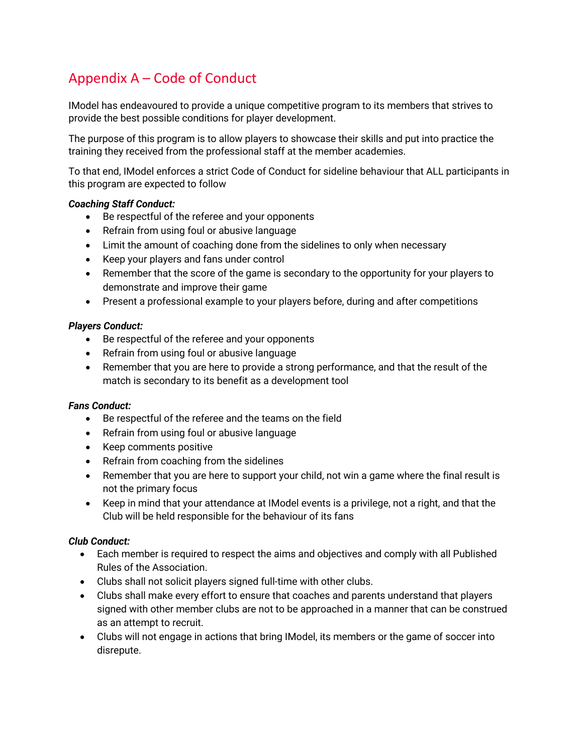## Appendix A – Code of Conduct

IModel has endeavoured to provide a unique competitive program to its members that strives to provide the best possible conditions for player development.

The purpose of this program is to allow players to showcase their skills and put into practice the training they received from the professional staff at the member academies.

To that end, IModel enforces a strict Code of Conduct for sideline behaviour that ALL participants in this program are expected to follow

## *Coaching Staff Conduct:*

- Be respectful of the referee and your opponents
- Refrain from using foul or abusive language
- Limit the amount of coaching done from the sidelines to only when necessary
- Keep your players and fans under control
- Remember that the score of the game is secondary to the opportunity for your players to demonstrate and improve their game
- Present a professional example to your players before, during and after competitions

## *Players Conduct:*

- Be respectful of the referee and your opponents
- Refrain from using foul or abusive language
- Remember that you are here to provide a strong performance, and that the result of the match is secondary to its benefit as a development tool

## *Fans Conduct:*

- Be respectful of the referee and the teams on the field
- Refrain from using foul or abusive language
- Keep comments positive
- Refrain from coaching from the sidelines
- Remember that you are here to support your child, not win a game where the final result is not the primary focus
- Keep in mind that your attendance at IModel events is a privilege, not a right, and that the Club will be held responsible for the behaviour of its fans

## *Club Conduct:*

- Each member is required to respect the aims and objectives and comply with all Published Rules of the Association.
- Clubs shall not solicit players signed full-time with other clubs.
- Clubs shall make every effort to ensure that coaches and parents understand that players signed with other member clubs are not to be approached in a manner that can be construed as an attempt to recruit.
- Clubs will not engage in actions that bring IModel, its members or the game of soccer into disrepute.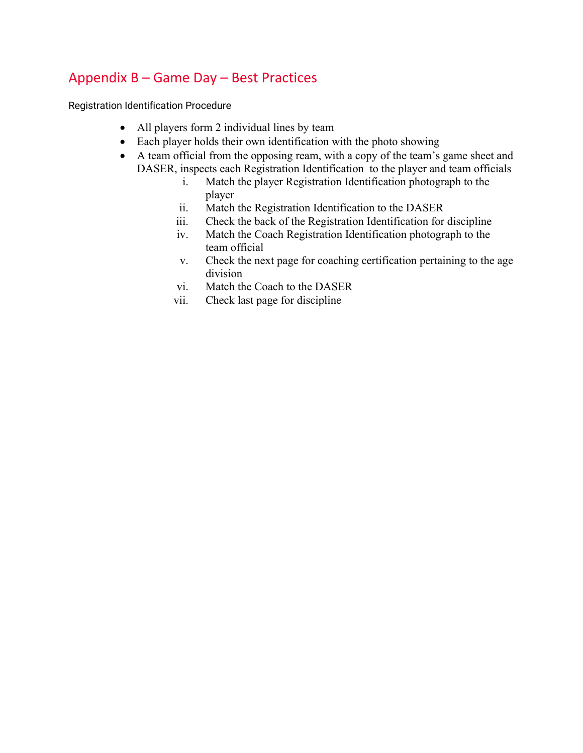## Appendix B – Game Day – Best Practices

Registration Identification Procedure

- All players form 2 individual lines by team
- Each player holds their own identification with the photo showing
- A team official from the opposing ream, with a copy of the team's game sheet and DASER, inspects each Registration Identification to the player and team officials
	- i. Match the player Registration Identification photograph to the player
	- ii. Match the Registration Identification to the DASER
	- iii. Check the back of the Registration Identification for discipline
	- iv. Match the Coach Registration Identification photograph to the team official
	- v. Check the next page for coaching certification pertaining to the age division
	- vi. Match the Coach to the DASER
	- vii. Check last page for discipline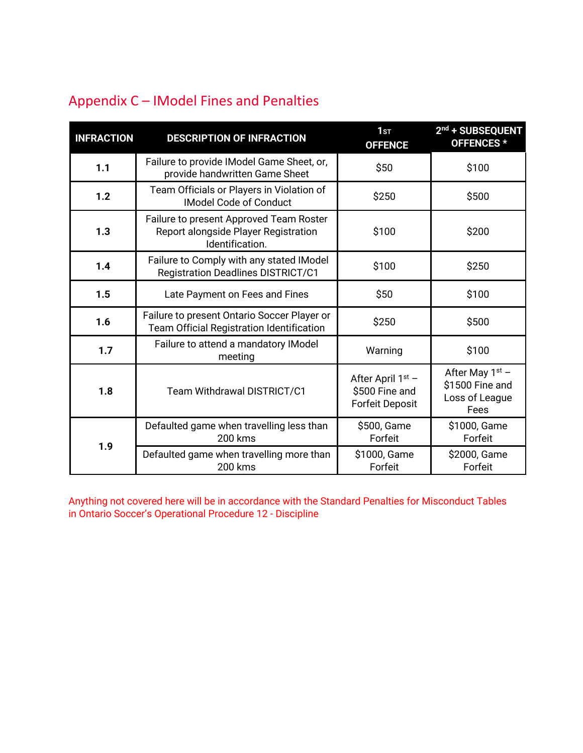| <b>INFRACTION</b>                  | <b>DESCRIPTION OF INFRACTION</b>                                                                   | 1 <sub>ST</sub><br><b>OFFENCE</b>                               | 2nd + SUBSEQUENT<br>OFFENCES *                                 |
|------------------------------------|----------------------------------------------------------------------------------------------------|-----------------------------------------------------------------|----------------------------------------------------------------|
| 1.1                                | Failure to provide IModel Game Sheet, or,<br>provide handwritten Game Sheet                        | \$50                                                            | \$100                                                          |
| 1.2                                | Team Officials or Players in Violation of<br><b>IModel Code of Conduct</b>                         | \$250                                                           | \$500                                                          |
| 1.3                                | Failure to present Approved Team Roster<br>Report alongside Player Registration<br>Identification. | \$100                                                           | \$200                                                          |
| 1.4                                | Failure to Comply with any stated IModel<br><b>Registration Deadlines DISTRICT/C1</b>              | \$100                                                           | \$250                                                          |
| 1.5                                | Late Payment on Fees and Fines                                                                     | \$50                                                            | \$100                                                          |
| 1.6                                | Failure to present Ontario Soccer Player or<br>Team Official Registration Identification           | \$250                                                           | \$500                                                          |
| 1.7                                | Failure to attend a mandatory IModel<br>meeting                                                    | Warning                                                         | \$100                                                          |
| 1.8<br>Team Withdrawal DISTRICT/C1 |                                                                                                    | After April $1st$ –<br>\$500 Fine and<br><b>Forfeit Deposit</b> | After May $1st$ –<br>\$1500 Fine and<br>Loss of League<br>Fees |
| 1.9                                | Defaulted game when travelling less than<br><b>200 kms</b>                                         | \$500, Game<br>Forfeit                                          | \$1000, Game<br>Forfeit                                        |
|                                    | Defaulted game when travelling more than<br>200 kms                                                | \$1000, Game<br>Forfeit                                         | \$2000, Game<br>Forfeit                                        |

## Appendix C – IModel Fines and Penalties

Anything not covered here will be in accordance with the Standard Penalties for Misconduct Tables in Ontario Soccer's Operational Procedure 12 - Discipline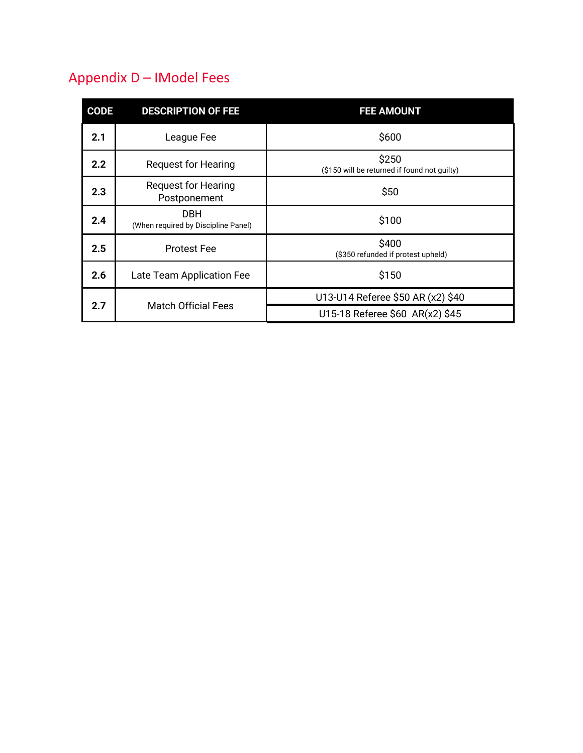# Appendix D – IModel Fees

| <b>CODE</b> | <b>DESCRIPTION OF FEE</b>                         | <b>FEE AMOUNT</b>                                     |
|-------------|---------------------------------------------------|-------------------------------------------------------|
| 2.1         | League Fee                                        | \$600                                                 |
| 2.2         | <b>Request for Hearing</b>                        | \$250<br>(\$150 will be returned if found not quilty) |
| 2.3         | <b>Request for Hearing</b><br>Postponement        | \$50                                                  |
| 2.4         | <b>DBH</b><br>(When required by Discipline Panel) | \$100                                                 |
| 2.5         | <b>Protest Fee</b>                                | \$400<br>(\$350 refunded if protest upheld)           |
| 2.6         | Late Team Application Fee                         | \$150                                                 |
| 2.7         | <b>Match Official Fees</b>                        | U13-U14 Referee \$50 AR (x2) \$40                     |
|             |                                                   | U15-18 Referee \$60 AR(x2) \$45                       |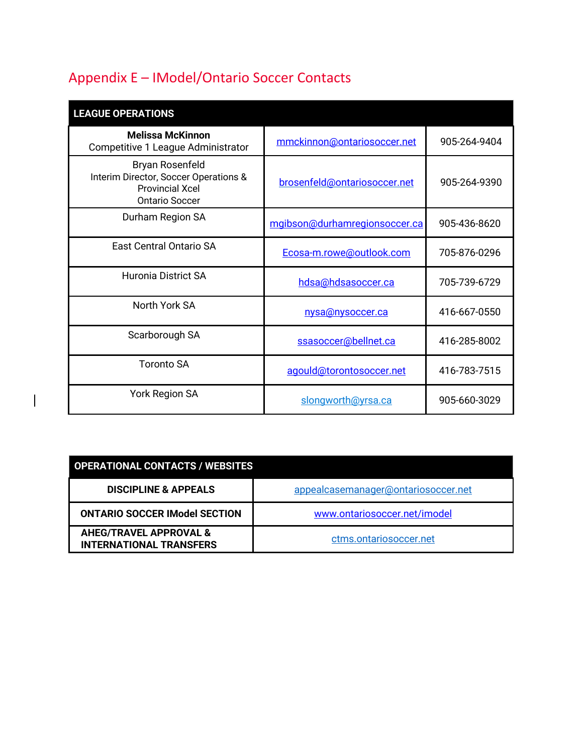# Appendix E – IModel/Ontario Soccer Contacts

 $\overline{\phantom{a}}$ 

| <b>LEAGUE OPERATIONS</b>                                                                                    |                               |              |
|-------------------------------------------------------------------------------------------------------------|-------------------------------|--------------|
| <b>Melissa McKinnon</b><br>Competitive 1 League Administrator                                               | mmckinnon@ontariosoccer.net   | 905-264-9404 |
| Bryan Rosenfeld<br>Interim Director, Soccer Operations &<br><b>Provincial Xcel</b><br><b>Ontario Soccer</b> | brosenfeld@ontariosoccer.net  | 905-264-9390 |
| Durham Region SA                                                                                            | mgibson@durhamregionsoccer.ca | 905-436-8620 |
| East Central Ontario SA                                                                                     | Ecosa-m.rowe@outlook.com      | 705-876-0296 |
| <b>Huronia District SA</b>                                                                                  | hdsa@hdsasoccer.ca            | 705-739-6729 |
| North York SA                                                                                               | nysa@nysoccer.ca              | 416-667-0550 |
| Scarborough SA                                                                                              | ssasoccer@bellnet.ca          | 416-285-8002 |
| Toronto SA                                                                                                  | agould@torontosoccer.net      | 416-783-7515 |
| <b>York Region SA</b>                                                                                       | slongworth@yrsa.ca            | 905-660-3029 |

| <b>OPERATIONAL CONTACTS / WEBSITES</b>                              |                                     |  |
|---------------------------------------------------------------------|-------------------------------------|--|
| <b>DISCIPLINE &amp; APPEALS</b>                                     | appealcasemanager@ontariosoccer.net |  |
| <b>ONTARIO SOCCER IModel SECTION</b>                                | www.ontariosoccer.net/imodel        |  |
| <b>AHEG/TRAVEL APPROVAL &amp;</b><br><b>INTERNATIONAL TRANSFERS</b> | ctms.ontariosoccer.net              |  |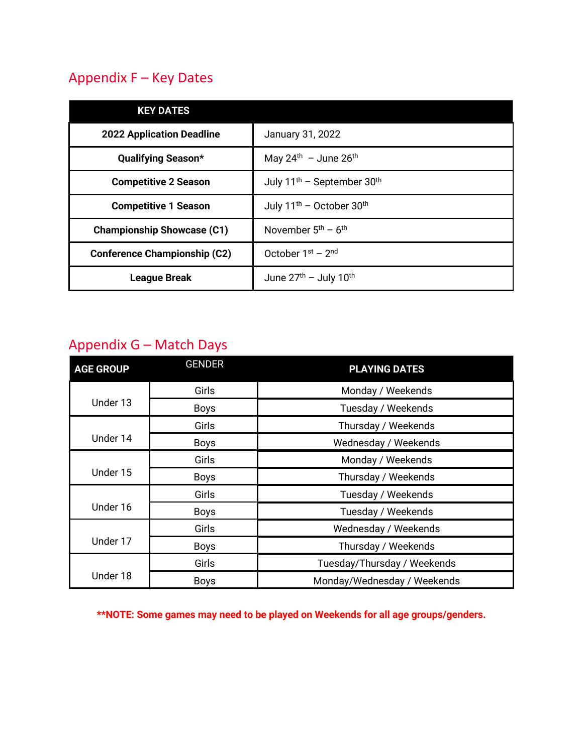## Appendix F – Key Dates

| <b>KEY DATES</b>                    |                                                    |
|-------------------------------------|----------------------------------------------------|
| <b>2022 Application Deadline</b>    | January 31, 2022                                   |
| <b>Qualifying Season*</b>           | May $24^{\text{th}}$ - June $26^{\text{th}}$       |
| <b>Competitive 2 Season</b>         | July 11 <sup>th</sup> - September 30 <sup>th</sup> |
| <b>Competitive 1 Season</b>         | July 11 <sup>th</sup> - October 30 <sup>th</sup>   |
| <b>Championship Showcase (C1)</b>   | November $5th$ – $6th$                             |
| <b>Conference Championship (C2)</b> | October $1st - 2nd$                                |
| <b>League Break</b>                 | June $27th$ – July 10 <sup>th</sup>                |

## Appendix G – Match Days

| <b>AGE GROUP</b> | <b>GENDER</b> | <b>PLAYING DATES</b>        |
|------------------|---------------|-----------------------------|
|                  | Girls         | Monday / Weekends           |
| Under 13         | <b>Boys</b>   | Tuesday / Weekends          |
| Under 14         | Girls         | Thursday / Weekends         |
|                  | <b>Boys</b>   | Wednesday / Weekends        |
| Under 15         | Girls         | Monday / Weekends           |
|                  | <b>Boys</b>   | Thursday / Weekends         |
| Under 16         | Girls         | Tuesday / Weekends          |
|                  | <b>Boys</b>   | Tuesday / Weekends          |
| Under 17         | Girls         | Wednesday / Weekends        |
|                  | <b>Boys</b>   | Thursday / Weekends         |
| Under 18         | Girls         | Tuesday/Thursday / Weekends |
|                  | <b>Boys</b>   | Monday/Wednesday / Weekends |

**\*\*NOTE: Some games may need to be played on Weekends for all age groups/genders.**